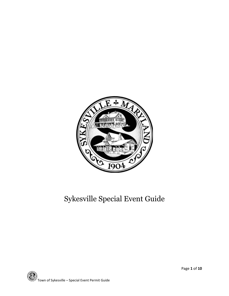

# Sykesville Special Event Guide

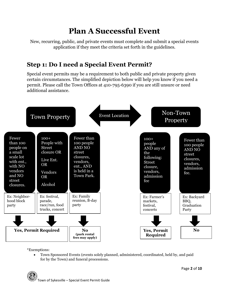# **Plan A Successful Event**

New, recurring, public, and private events must complete and submit a special events application if they meet the criteria set forth in the guidelines.

### **Step 1: Do I need a Special Event Permit?**

Special event permits may be a requirement to both public and private property given certain circumstances. The simplified depiction below will help you know if you need a permit. Please call the Town Offices at 410-795-6390 if you are still unsure or need additional assistance.



\*Exemptions:

 Town Sponsored Events (events solely planned, administered, coordinated, held by, and paid for by the Town) and funeral processions.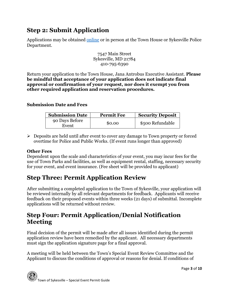## **Step 2: Submit Application**

Applications may be obtained [online](http://www.townofsykesville.org/2202/Town-Forms) or in person at the Town House or Sykesville Police Department.

> 7547 Main Street Sykesville, MD 21784 410-795-6390

Return your application to the Town House, Jana Antrobus Executive Assistant. **Please be mindful that acceptance of your application does not indicate final approval or confirmation of your request, nor does it exempt you from other required application and reservation procedures.**

#### **Submission Date and Fees**

| <b>Submission Date</b>  | <b>Permit Fee</b> | <b>Security Deposit</b> |
|-------------------------|-------------------|-------------------------|
| 90 Days Before<br>Event | \$0.00            | \$500 Refundable        |

 Deposits are held until after event to cover any damage to Town property or forced overtime for Police and Public Works. (If event runs longer than approved)

#### **Other Fees**

Dependent upon the scale and characteristics of your event, you may incur fees for the use of Town Parks and facilities, as well as equipment rental, staffing, necessary security for your event, and event insurance. (Fee sheet will be provided to applicant)

# **Step Three: Permit Application Review**

After submitting a completed application to the Town of Sykesville, your application will be reviewed internally by all relevant departments for feedback. Applicants will receive feedback on their proposed events within three weeks (21 days) of submittal. Incomplete applications will be returned without review.

## **Step Four: Permit Application/Denial Notification Meeting**

Final decision of the permit will be made after all issues identified during the permit application review have been remedied by the applicant. All necessary departments must sign the application signature page for a final approval.

A meeting will be held between the Town's Special Event Review Committee and the Applicant to discuss the conditions of approval or reasons for denial. If conditions of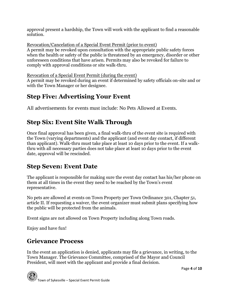approval present a hardship, the Town will work with the applicant to find a reasonable solution.

Revocation/Cancelation of a Special Event Permit (prior to event) A permit may be revoked upon consultation with the appropriate public safety forces when the health or safety of the public is threatened by an emergency, disorder or other unforeseen conditions that have arisen. Permits may also be revoked for failure to comply with approval conditions or site walk-thru.

Revocation of a Special Event Permit (during the event)

A permit may be revoked during an event if determined by safety officials on-site and or with the Town Manager or her designee.

# **Step Five: Advertising Your Event**

All advertisements for events must include: No Pets Allowed at Events.

# **Step Six: Event Site Walk Through**

Once final approval has been given, a final walk-thru of the event site is required with the Town (varying departments) and the applicant (and event day contact, if different than applicant). Walk-thru must take place at least 10 days prior to the event. If a walkthru with all necessary parties does not take place at least 10 days prior to the event date, approval will be rescinded.

# **Step Seven: Event Date**

The applicant is responsible for making sure the event day contact has his/her phone on them at all times in the event they need to be reached by the Town's event representative.

No pets are allowed at events on Town Property per Town Ordinance 301, Chapter 51, article II. If requesting a waiver, the event organizer must submit plans specifying how the public will be protected from the animals.

Event signs are not allowed on Town Property including along Town roads.

Enjoy and have fun!

# **Grievance Process**

In the event an application is denied, applicants may file a grievance, in writing, to the Town Manager. The Grievance Committee, comprised of the Mayor and Council President, will meet with the applicant and provide a final decision.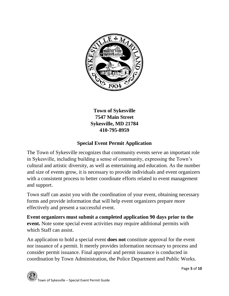

**Town of Sykesville 7547 Main Street Sykesville, MD 21784 410-795-8959**

### **Special Event Permit Application**

The Town of Sykesville recognizes that community events serve an important role in Sykesville, including building a sense of community, expressing the Town's cultural and artistic diversity, as well as entertaining and education. As the number and size of events grow, it is necessary to provide individuals and event organizers with a consistent process to better coordinate efforts related to event management and support.

Town staff can assist you with the coordination of your event, obtaining necessary forms and provide information that will help event organizers prepare more effectively and present a successful event.

**Event organizers must submit a completed application 90 days prior to the event.** Note some special event activities may require additional permits with which Staff can assist.

An application to hold a special event **does not** constitute approval for the event nor issuance of a permit. It merely provides information necessary to process and consider permit issuance. Final approval and permit issuance is conducted in coordination by Town Administration, the Police Department and Public Works.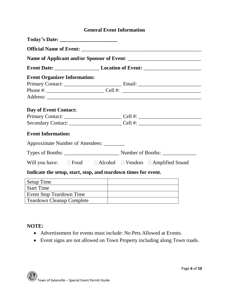### **General Event Information**

| <b>Event Organizer Information:</b>        |                                                                                             |  |
|--------------------------------------------|---------------------------------------------------------------------------------------------|--|
|                                            |                                                                                             |  |
|                                            |                                                                                             |  |
|                                            |                                                                                             |  |
| Day of Event Contact:                      |                                                                                             |  |
|                                            |                                                                                             |  |
|                                            | Secondary Contact: ____________________________Cell #: _________________________            |  |
| <b>Event Information:</b>                  |                                                                                             |  |
| Approximate Number of Attendees: _________ |                                                                                             |  |
|                                            |                                                                                             |  |
|                                            | Will you have: $\square$ Food $\square$ Alcohol $\square$ Vendors $\square$ Amplified Sound |  |
|                                            | Indicate the setup, start, stop, and teardown times for event.                              |  |
| <b>Setup Time</b>                          |                                                                                             |  |
| <b>Start Time</b>                          |                                                                                             |  |
| <b>Event Stop Teardown Time</b>            |                                                                                             |  |

#### **NOTE:**

- Advertisement for events must include: No Pets Allowed at Events.
- Event signs are not allowed on Town Property including along Town roads.

Teardown Cleanup Complete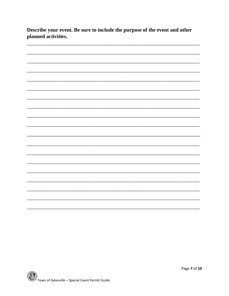Describe your event. Be sure to include the purpose of the event and other planned activities.

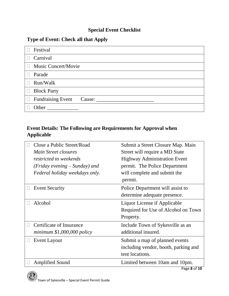### **Special Event Checklist**

### **Type of Event: Check all that Apply**

| Festival                           |
|------------------------------------|
| Carnival<br>$\Box$                 |
| □ Music Concert/Movie              |
| Parade                             |
| Run/Walk<br>$\Box$                 |
| <b>Block Party</b><br>$\Box$       |
| $\Box$ Fundraising Event<br>Cause: |
| Other                              |

### **Event Details: The Following are Requirements for Approval when Applicable**

| Close a Public Street/Road        | Submit a Street Closure Map. Main                   |
|-----------------------------------|-----------------------------------------------------|
| Main Street closures              | Street will require a MD State                      |
| restricted to weekends            | <b>Highway Administration Event</b>                 |
| $(Friday\, evening - Sunday)$ and | permit. The Police Department                       |
| Federal holiday weekdays only.    | will complete and submit the                        |
|                                   | permit.                                             |
| <b>Event Security</b>             | Police Department will assist to                    |
|                                   | determine adequate presence.                        |
| Alcohol                           | Liquor License if Applicable                        |
|                                   | Required for Use of Alcohol on Town                 |
|                                   | Property.                                           |
| Certificate of Insurance          | Include Town of Sykesville as an                    |
| minimum $$1,000,000$ policy       | additional insured.                                 |
| <b>Event Layout</b>               | Submit a map of planned events                      |
|                                   | including vendor, booth, parking and                |
|                                   | tent locations.                                     |
| <b>Amplified Sound</b>            | Limited between 10am and 10pm.<br>$D_{200}$ Q of 10 |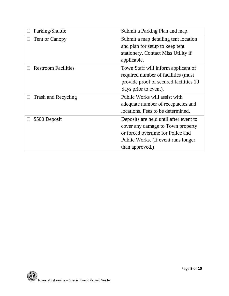| Parking/Shuttle            | Submit a Parking Plan and map.         |
|----------------------------|----------------------------------------|
| Tent or Canopy             | Submit a map detailing tent location   |
|                            | and plan for setup to keep tent        |
|                            | stationery. Contact Miss Utility if    |
|                            | applicable.                            |
| <b>Restroom Facilities</b> | Town Staff will inform applicant of    |
|                            | required number of facilities (must    |
|                            | provide proof of secured facilities 10 |
|                            | days prior to event).                  |
| Trash and Recycling        | Public Works will assist with          |
|                            | adequate number of receptacles and     |
|                            | locations. Fees to be determined.      |
| \$500 Deposit              | Deposits are held until after event to |
|                            | cover any damage to Town property      |
|                            | or forced overtime for Police and      |
|                            | Public Works. (If event runs longer    |
|                            | than approved.)                        |